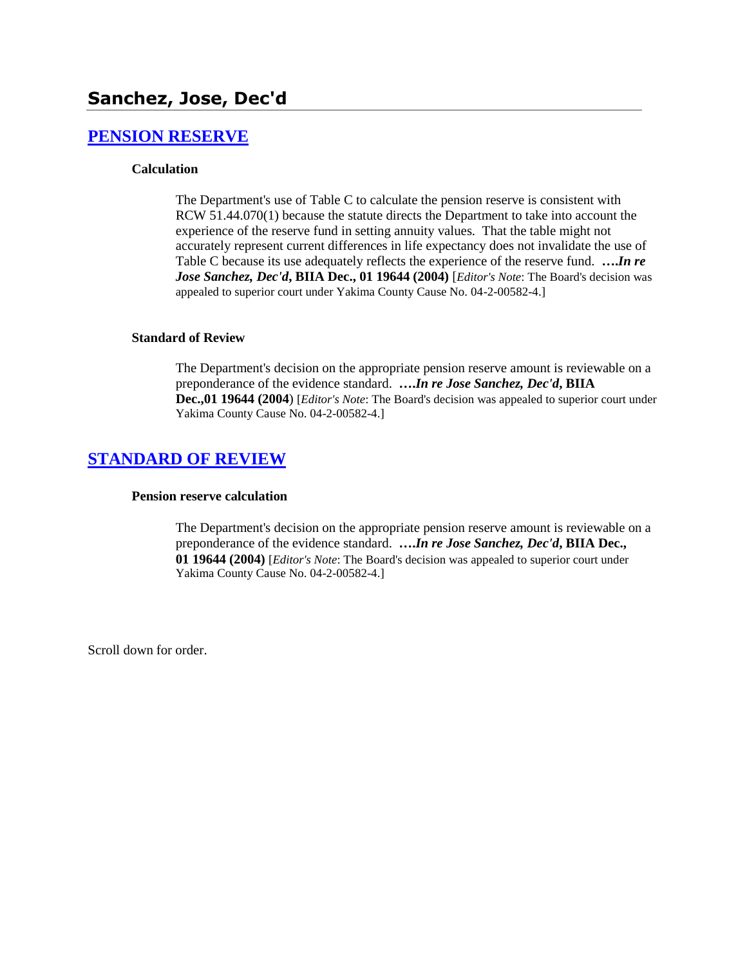# **Sanchez, Jose, Dec'd**

## **[PENSION RESERVE](http://www.biia.wa.gov/SDSubjectIndex.html#PENSION_RESERVE)**

### **Calculation**

The Department's use of Table C to calculate the pension reserve is consistent with RCW 51.44.070(1) because the statute directs the Department to take into account the experience of the reserve fund in setting annuity values. That the table might not accurately represent current differences in life expectancy does not invalidate the use of Table C because its use adequately reflects the experience of the reserve fund. **….***In re Jose Sanchez, Dec'd***, BIIA Dec., 01 19644 (2004)** [*Editor's Note*: The Board's decision was appealed to superior court under Yakima County Cause No. 04-2-00582-4.]

#### **Standard of Review**

The Department's decision on the appropriate pension reserve amount is reviewable on a preponderance of the evidence standard. **….***In re Jose Sanchez, Dec'd***, BIIA Dec.,01 19644 (2004**) [*Editor's Note*: The Board's decision was appealed to superior court under Yakima County Cause No. 04-2-00582-4.]

## **[STANDARD OF REVIEW](http://www.biia.wa.gov/SDSubjectIndex.html#STANDARD_OF_REVIEW)**

#### **Pension reserve calculation**

The Department's decision on the appropriate pension reserve amount is reviewable on a preponderance of the evidence standard. **….***In re Jose Sanchez, Dec'd***, BIIA Dec., 01 19644 (2004)** [*Editor's Note*: The Board's decision was appealed to superior court under Yakima County Cause No. 04-2-00582-4.]

Scroll down for order.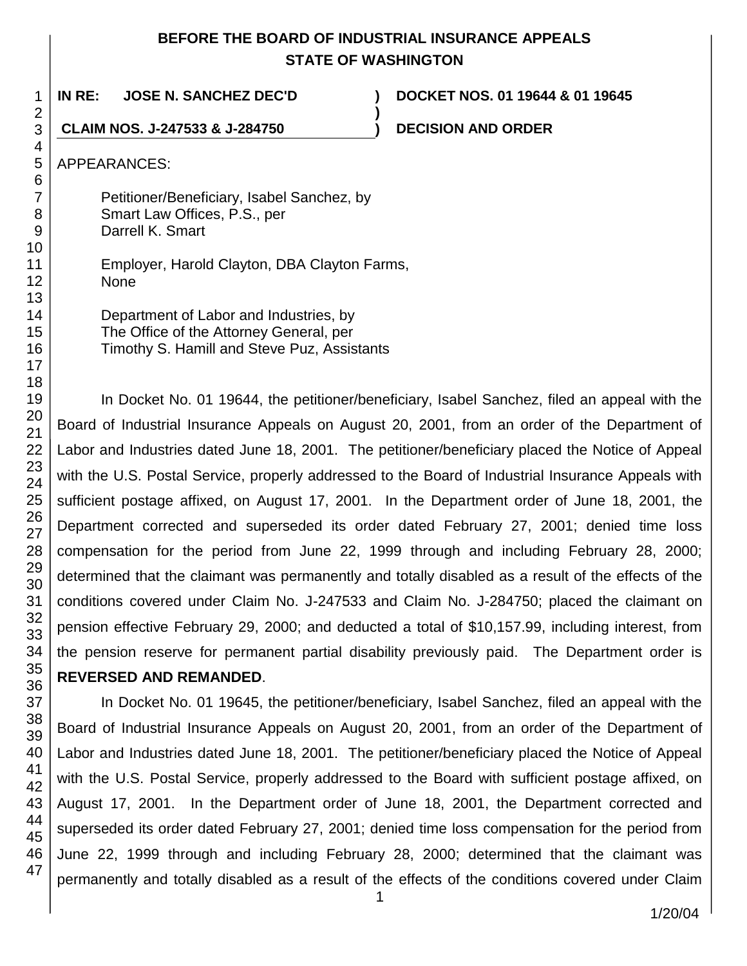# **BEFORE THE BOARD OF INDUSTRIAL INSURANCE APPEALS STATE OF WASHINGTON**

**)**

**IN RE: JOSE N. SANCHEZ DEC'D ) DOCKET NOS. 01 19644 & 01 19645**

**CLAIM NOS. J-247533 & J-284750 ) DECISION AND ORDER**

APPEARANCES:

Petitioner/Beneficiary, Isabel Sanchez, by Smart Law Offices, P.S., per Darrell K. Smart

Employer, Harold Clayton, DBA Clayton Farms, None

Department of Labor and Industries, by The Office of the Attorney General, per Timothy S. Hamill and Steve Puz, Assistants

In Docket No. 01 19644, the petitioner/beneficiary, Isabel Sanchez, filed an appeal with the Board of Industrial Insurance Appeals on August 20, 2001, from an order of the Department of Labor and Industries dated June 18, 2001. The petitioner/beneficiary placed the Notice of Appeal with the U.S. Postal Service, properly addressed to the Board of Industrial Insurance Appeals with sufficient postage affixed, on August 17, 2001. In the Department order of June 18, 2001, the Department corrected and superseded its order dated February 27, 2001; denied time loss compensation for the period from June 22, 1999 through and including February 28, 2000; determined that the claimant was permanently and totally disabled as a result of the effects of the conditions covered under Claim No. J-247533 and Claim No. J-284750; placed the claimant on pension effective February 29, 2000; and deducted a total of \$10,157.99, including interest, from the pension reserve for permanent partial disability previously paid. The Department order is **REVERSED AND REMANDED**.

In Docket No. 01 19645, the petitioner/beneficiary, Isabel Sanchez, filed an appeal with the Board of Industrial Insurance Appeals on August 20, 2001, from an order of the Department of Labor and Industries dated June 18, 2001. The petitioner/beneficiary placed the Notice of Appeal with the U.S. Postal Service, properly addressed to the Board with sufficient postage affixed, on August 17, 2001. In the Department order of June 18, 2001, the Department corrected and superseded its order dated February 27, 2001; denied time loss compensation for the period from June 22, 1999 through and including February 28, 2000; determined that the claimant was permanently and totally disabled as a result of the effects of the conditions covered under Claim

47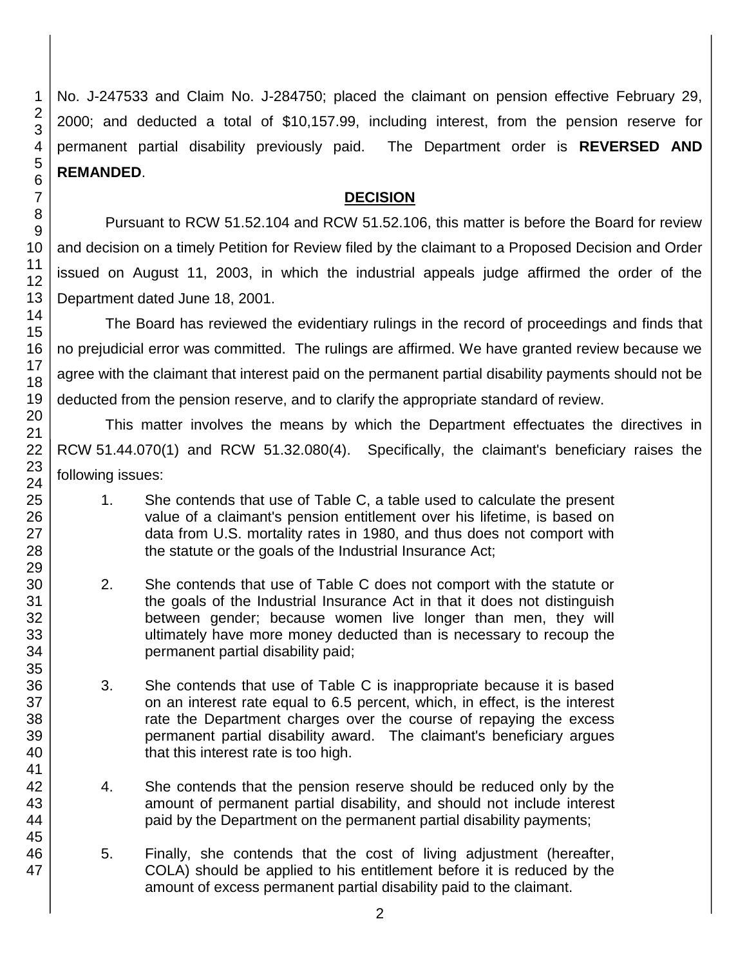No. J-247533 and Claim No. J-284750; placed the claimant on pension effective February 29, 2000; and deducted a total of \$10,157.99, including interest, from the pension reserve for permanent partial disability previously paid. The Department order is **REVERSED AND REMANDED**.

# **DECISION**

Pursuant to RCW 51.52.104 and RCW 51.52.106, this matter is before the Board for review and decision on a timely Petition for Review filed by the claimant to a Proposed Decision and Order issued on August 11, 2003, in which the industrial appeals judge affirmed the order of the Department dated June 18, 2001.

The Board has reviewed the evidentiary rulings in the record of proceedings and finds that no prejudicial error was committed. The rulings are affirmed. We have granted review because we agree with the claimant that interest paid on the permanent partial disability payments should not be deducted from the pension reserve, and to clarify the appropriate standard of review.

This matter involves the means by which the Department effectuates the directives in RCW 51.44.070(1) and RCW 51.32.080(4). Specifically, the claimant's beneficiary raises the following issues:

- 1. She contends that use of Table C, a table used to calculate the present value of a claimant's pension entitlement over his lifetime, is based on data from U.S. mortality rates in 1980, and thus does not comport with the statute or the goals of the Industrial Insurance Act;
- 2. She contends that use of Table C does not comport with the statute or the goals of the Industrial Insurance Act in that it does not distinguish between gender; because women live longer than men, they will ultimately have more money deducted than is necessary to recoup the permanent partial disability paid;
- 3. She contends that use of Table C is inappropriate because it is based on an interest rate equal to 6.5 percent, which, in effect, is the interest rate the Department charges over the course of repaying the excess permanent partial disability award. The claimant's beneficiary argues that this interest rate is too high.
- 4. She contends that the pension reserve should be reduced only by the amount of permanent partial disability, and should not include interest paid by the Department on the permanent partial disability payments;
- 5. Finally, she contends that the cost of living adjustment (hereafter, COLA) should be applied to his entitlement before it is reduced by the amount of excess permanent partial disability paid to the claimant.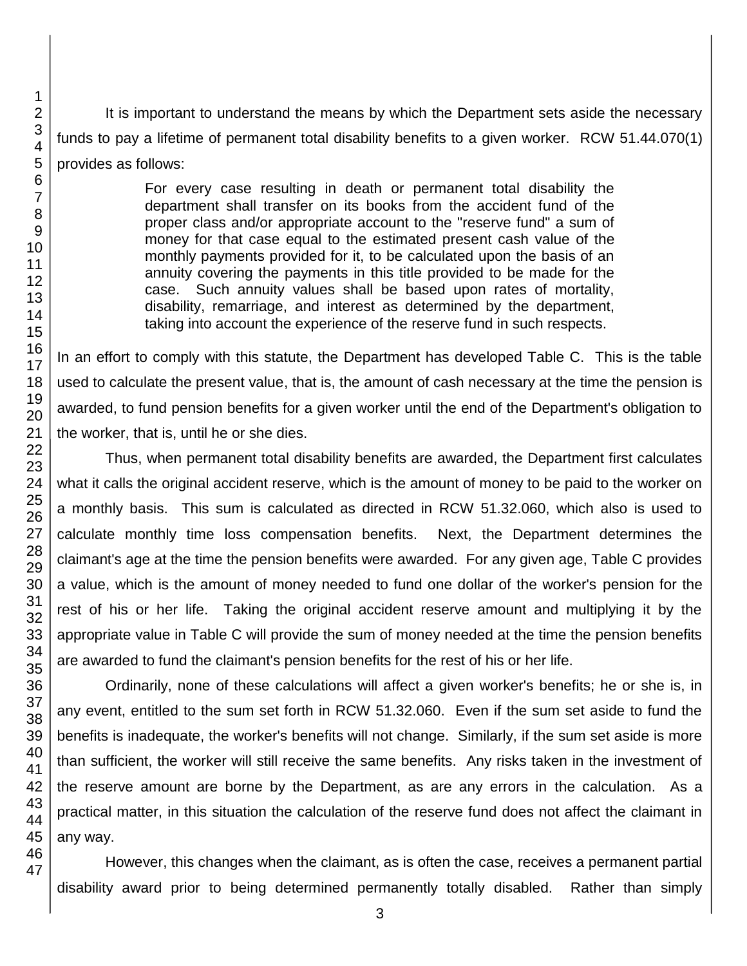It is important to understand the means by which the Department sets aside the necessary funds to pay a lifetime of permanent total disability benefits to a given worker. RCW 51.44.070(1) provides as follows:

> For every case resulting in death or permanent total disability the department shall transfer on its books from the accident fund of the proper class and/or appropriate account to the "reserve fund" a sum of money for that case equal to the estimated present cash value of the monthly payments provided for it, to be calculated upon the basis of an annuity covering the payments in this title provided to be made for the case. Such annuity values shall be based upon rates of mortality, disability, remarriage, and interest as determined by the department, taking into account the experience of the reserve fund in such respects.

In an effort to comply with this statute, the Department has developed Table C. This is the table used to calculate the present value, that is, the amount of cash necessary at the time the pension is awarded, to fund pension benefits for a given worker until the end of the Department's obligation to the worker, that is, until he or she dies.

Thus, when permanent total disability benefits are awarded, the Department first calculates what it calls the original accident reserve, which is the amount of money to be paid to the worker on a monthly basis. This sum is calculated as directed in RCW 51.32.060, which also is used to calculate monthly time loss compensation benefits. Next, the Department determines the claimant's age at the time the pension benefits were awarded. For any given age, Table C provides a value, which is the amount of money needed to fund one dollar of the worker's pension for the rest of his or her life. Taking the original accident reserve amount and multiplying it by the appropriate value in Table C will provide the sum of money needed at the time the pension benefits are awarded to fund the claimant's pension benefits for the rest of his or her life.

Ordinarily, none of these calculations will affect a given worker's benefits; he or she is, in any event, entitled to the sum set forth in RCW 51.32.060. Even if the sum set aside to fund the benefits is inadequate, the worker's benefits will not change. Similarly, if the sum set aside is more than sufficient, the worker will still receive the same benefits. Any risks taken in the investment of the reserve amount are borne by the Department, as are any errors in the calculation. As a practical matter, in this situation the calculation of the reserve fund does not affect the claimant in any way.

However, this changes when the claimant, as is often the case, receives a permanent partial disability award prior to being determined permanently totally disabled. Rather than simply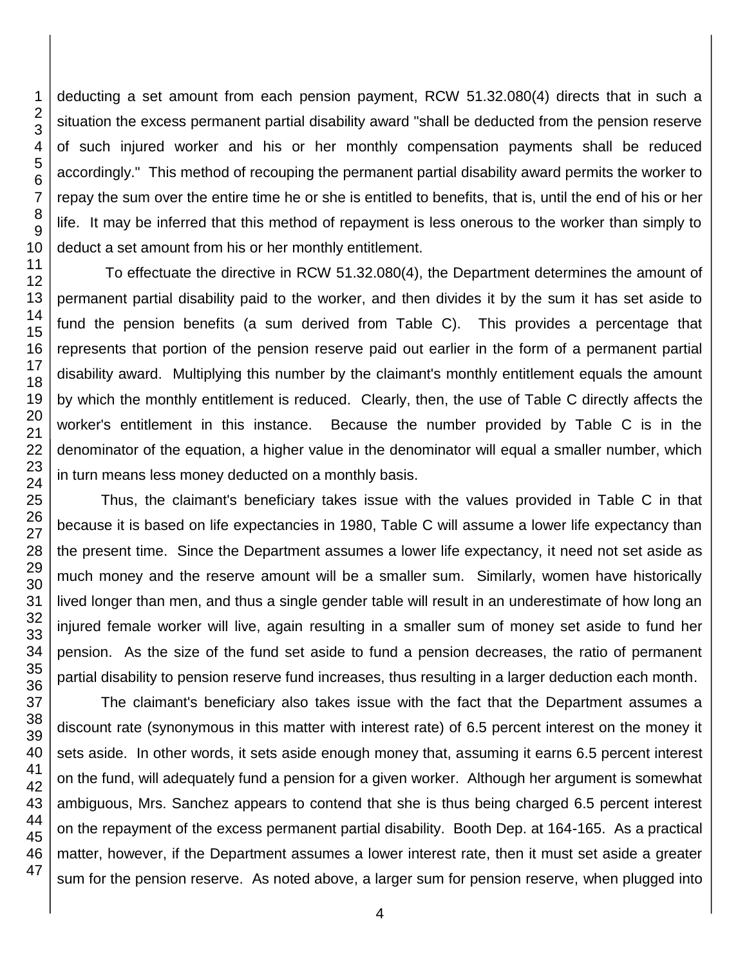deducting a set amount from each pension payment, RCW 51.32.080(4) directs that in such a situation the excess permanent partial disability award "shall be deducted from the pension reserve of such injured worker and his or her monthly compensation payments shall be reduced accordingly." This method of recouping the permanent partial disability award permits the worker to repay the sum over the entire time he or she is entitled to benefits, that is, until the end of his or her life. It may be inferred that this method of repayment is less onerous to the worker than simply to deduct a set amount from his or her monthly entitlement.

To effectuate the directive in RCW 51.32.080(4), the Department determines the amount of permanent partial disability paid to the worker, and then divides it by the sum it has set aside to fund the pension benefits (a sum derived from Table C). This provides a percentage that represents that portion of the pension reserve paid out earlier in the form of a permanent partial disability award. Multiplying this number by the claimant's monthly entitlement equals the amount by which the monthly entitlement is reduced. Clearly, then, the use of Table C directly affects the worker's entitlement in this instance. Because the number provided by Table C is in the denominator of the equation, a higher value in the denominator will equal a smaller number, which in turn means less money deducted on a monthly basis.

Thus, the claimant's beneficiary takes issue with the values provided in Table C in that because it is based on life expectancies in 1980, Table C will assume a lower life expectancy than the present time. Since the Department assumes a lower life expectancy, it need not set aside as much money and the reserve amount will be a smaller sum. Similarly, women have historically lived longer than men, and thus a single gender table will result in an underestimate of how long an injured female worker will live, again resulting in a smaller sum of money set aside to fund her pension. As the size of the fund set aside to fund a pension decreases, the ratio of permanent partial disability to pension reserve fund increases, thus resulting in a larger deduction each month.

The claimant's beneficiary also takes issue with the fact that the Department assumes a discount rate (synonymous in this matter with interest rate) of 6.5 percent interest on the money it sets aside. In other words, it sets aside enough money that, assuming it earns 6.5 percent interest on the fund, will adequately fund a pension for a given worker. Although her argument is somewhat ambiguous, Mrs. Sanchez appears to contend that she is thus being charged 6.5 percent interest on the repayment of the excess permanent partial disability. Booth Dep. at 164-165. As a practical matter, however, if the Department assumes a lower interest rate, then it must set aside a greater sum for the pension reserve. As noted above, a larger sum for pension reserve, when plugged into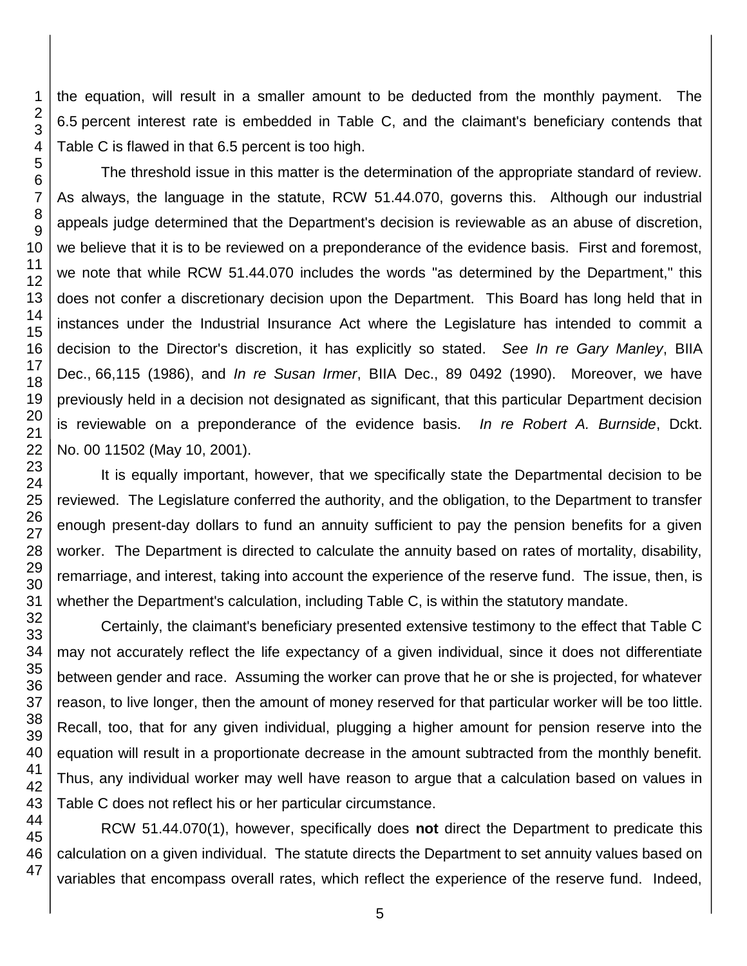the equation, will result in a smaller amount to be deducted from the monthly payment. The 6.5 percent interest rate is embedded in Table C, and the claimant's beneficiary contends that Table C is flawed in that 6.5 percent is too high.

The threshold issue in this matter is the determination of the appropriate standard of review. As always, the language in the statute, RCW 51.44.070, governs this. Although our industrial appeals judge determined that the Department's decision is reviewable as an abuse of discretion, we believe that it is to be reviewed on a preponderance of the evidence basis. First and foremost, we note that while RCW 51.44.070 includes the words "as determined by the Department," this does not confer a discretionary decision upon the Department. This Board has long held that in instances under the Industrial Insurance Act where the Legislature has intended to commit a decision to the Director's discretion, it has explicitly so stated. *See In re Gary Manley*, BIIA Dec., 66,115 (1986), and *In re Susan Irmer*, BIIA Dec., 89 0492 (1990). Moreover, we have previously held in a decision not designated as significant, that this particular Department decision is reviewable on a preponderance of the evidence basis*. In re Robert A. Burnside*, Dckt. No. 00 11502 (May 10, 2001).

It is equally important, however, that we specifically state the Departmental decision to be reviewed. The Legislature conferred the authority, and the obligation, to the Department to transfer enough present-day dollars to fund an annuity sufficient to pay the pension benefits for a given worker. The Department is directed to calculate the annuity based on rates of mortality, disability, remarriage, and interest, taking into account the experience of the reserve fund. The issue, then, is whether the Department's calculation, including Table C, is within the statutory mandate.

Certainly, the claimant's beneficiary presented extensive testimony to the effect that Table C may not accurately reflect the life expectancy of a given individual, since it does not differentiate between gender and race. Assuming the worker can prove that he or she is projected, for whatever reason, to live longer, then the amount of money reserved for that particular worker will be too little. Recall, too, that for any given individual, plugging a higher amount for pension reserve into the equation will result in a proportionate decrease in the amount subtracted from the monthly benefit. Thus, any individual worker may well have reason to argue that a calculation based on values in Table C does not reflect his or her particular circumstance.

RCW 51.44.070(1), however, specifically does **not** direct the Department to predicate this calculation on a given individual. The statute directs the Department to set annuity values based on variables that encompass overall rates, which reflect the experience of the reserve fund. Indeed,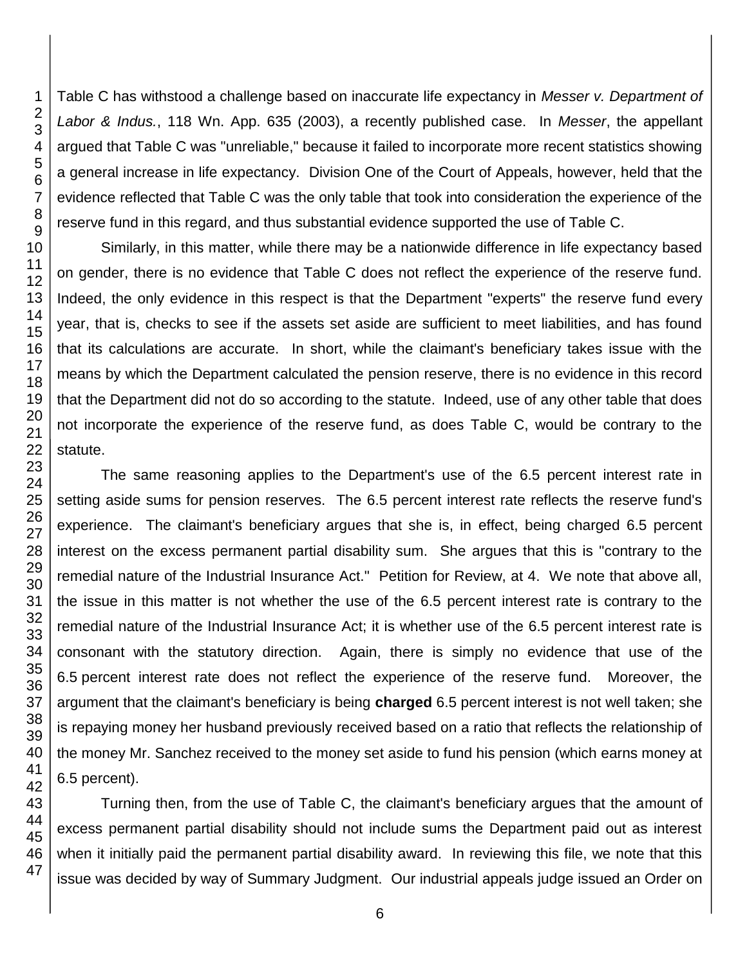Table C has withstood a challenge based on inaccurate life expectancy in *Messer v. Department of Labor & Indus.*, 118 Wn. App. 635 (2003), a recently published case. In *Messer*, the appellant argued that Table C was "unreliable," because it failed to incorporate more recent statistics showing a general increase in life expectancy. Division One of the Court of Appeals, however, held that the evidence reflected that Table C was the only table that took into consideration the experience of the reserve fund in this regard, and thus substantial evidence supported the use of Table C.

Similarly, in this matter, while there may be a nationwide difference in life expectancy based on gender, there is no evidence that Table C does not reflect the experience of the reserve fund. Indeed, the only evidence in this respect is that the Department "experts" the reserve fund every year, that is, checks to see if the assets set aside are sufficient to meet liabilities, and has found that its calculations are accurate. In short, while the claimant's beneficiary takes issue with the means by which the Department calculated the pension reserve, there is no evidence in this record that the Department did not do so according to the statute. Indeed, use of any other table that does not incorporate the experience of the reserve fund, as does Table C, would be contrary to the statute.

The same reasoning applies to the Department's use of the 6.5 percent interest rate in setting aside sums for pension reserves. The 6.5 percent interest rate reflects the reserve fund's experience. The claimant's beneficiary argues that she is, in effect, being charged 6.5 percent interest on the excess permanent partial disability sum. She argues that this is "contrary to the remedial nature of the Industrial Insurance Act." Petition for Review, at 4. We note that above all, the issue in this matter is not whether the use of the 6.5 percent interest rate is contrary to the remedial nature of the Industrial Insurance Act; it is whether use of the 6.5 percent interest rate is consonant with the statutory direction. Again, there is simply no evidence that use of the 6.5 percent interest rate does not reflect the experience of the reserve fund. Moreover, the argument that the claimant's beneficiary is being **charged** 6.5 percent interest is not well taken; she is repaying money her husband previously received based on a ratio that reflects the relationship of the money Mr. Sanchez received to the money set aside to fund his pension (which earns money at 6.5 percent).

Turning then, from the use of Table C, the claimant's beneficiary argues that the amount of excess permanent partial disability should not include sums the Department paid out as interest when it initially paid the permanent partial disability award. In reviewing this file, we note that this issue was decided by way of Summary Judgment. Our industrial appeals judge issued an Order on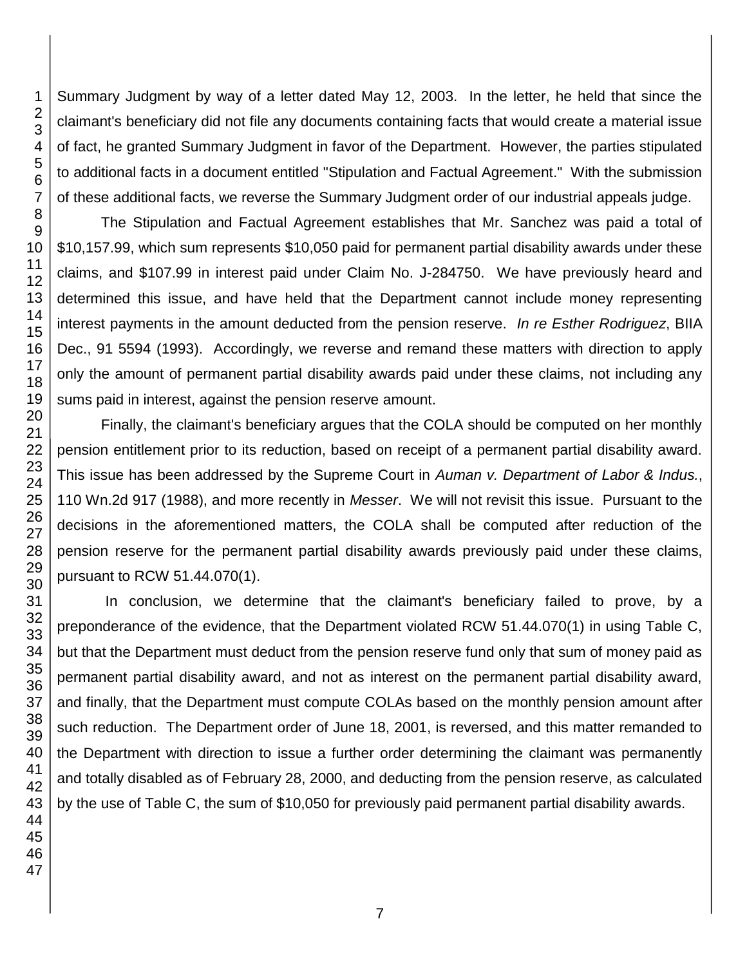Summary Judgment by way of a letter dated May 12, 2003. In the letter, he held that since the claimant's beneficiary did not file any documents containing facts that would create a material issue of fact, he granted Summary Judgment in favor of the Department. However, the parties stipulated to additional facts in a document entitled "Stipulation and Factual Agreement." With the submission of these additional facts, we reverse the Summary Judgment order of our industrial appeals judge.

The Stipulation and Factual Agreement establishes that Mr. Sanchez was paid a total of \$10,157.99, which sum represents \$10,050 paid for permanent partial disability awards under these claims, and \$107.99 in interest paid under Claim No. J-284750. We have previously heard and determined this issue, and have held that the Department cannot include money representing interest payments in the amount deducted from the pension reserve. *In re Esther Rodriguez*, BIIA Dec., 91 5594 (1993). Accordingly, we reverse and remand these matters with direction to apply only the amount of permanent partial disability awards paid under these claims, not including any sums paid in interest, against the pension reserve amount.

Finally, the claimant's beneficiary argues that the COLA should be computed on her monthly pension entitlement prior to its reduction, based on receipt of a permanent partial disability award. This issue has been addressed by the Supreme Court in *Auman v. Department of Labor & Indus.*, 110 Wn.2d 917 (1988), and more recently in *Messer*. We will not revisit this issue. Pursuant to the decisions in the aforementioned matters, the COLA shall be computed after reduction of the pension reserve for the permanent partial disability awards previously paid under these claims, pursuant to RCW 51.44.070(1).

In conclusion, we determine that the claimant's beneficiary failed to prove, by a preponderance of the evidence, that the Department violated RCW 51.44.070(1) in using Table C, but that the Department must deduct from the pension reserve fund only that sum of money paid as permanent partial disability award, and not as interest on the permanent partial disability award, and finally, that the Department must compute COLAs based on the monthly pension amount after such reduction. The Department order of June 18, 2001, is reversed, and this matter remanded to the Department with direction to issue a further order determining the claimant was permanently and totally disabled as of February 28, 2000, and deducting from the pension reserve, as calculated by the use of Table C, the sum of \$10,050 for previously paid permanent partial disability awards.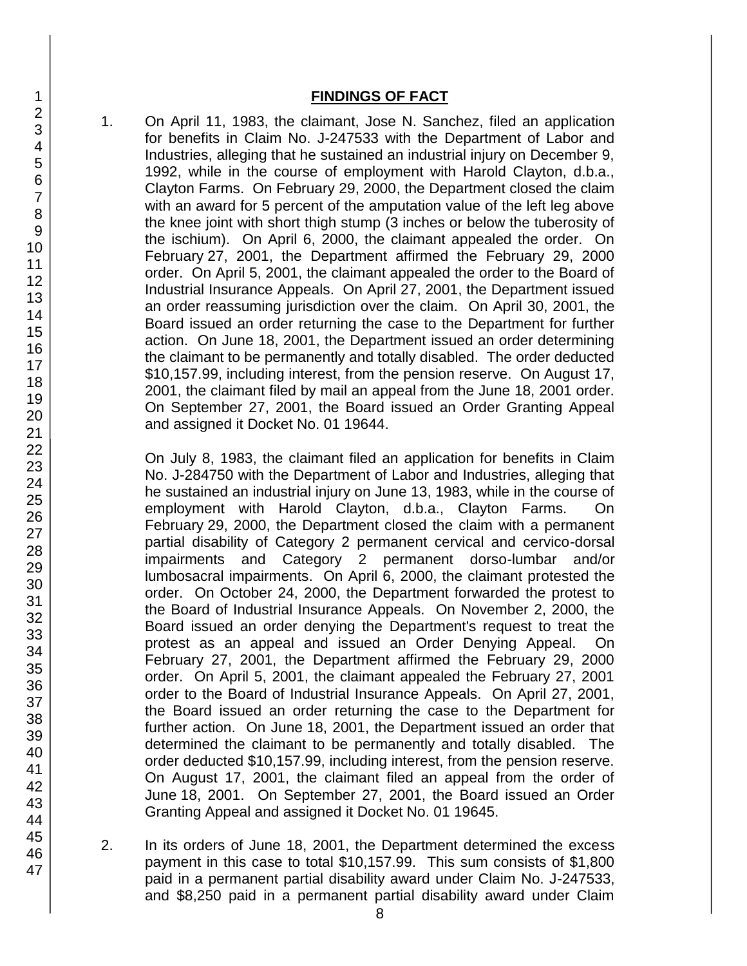### **FINDINGS OF FACT**

1. On April 11, 1983, the claimant, Jose N. Sanchez, filed an application for benefits in Claim No. J-247533 with the Department of Labor and Industries, alleging that he sustained an industrial injury on December 9, 1992, while in the course of employment with Harold Clayton, d.b.a., Clayton Farms. On February 29, 2000, the Department closed the claim with an award for 5 percent of the amputation value of the left leg above the knee joint with short thigh stump (3 inches or below the tuberosity of the ischium). On April 6, 2000, the claimant appealed the order. On February 27, 2001, the Department affirmed the February 29, 2000 order. On April 5, 2001, the claimant appealed the order to the Board of Industrial Insurance Appeals. On April 27, 2001, the Department issued an order reassuming jurisdiction over the claim. On April 30, 2001, the Board issued an order returning the case to the Department for further action. On June 18, 2001, the Department issued an order determining the claimant to be permanently and totally disabled. The order deducted \$10,157.99, including interest, from the pension reserve. On August 17, 2001, the claimant filed by mail an appeal from the June 18, 2001 order. On September 27, 2001, the Board issued an Order Granting Appeal and assigned it Docket No. 01 19644.

On July 8, 1983, the claimant filed an application for benefits in Claim No. J-284750 with the Department of Labor and Industries, alleging that he sustained an industrial injury on June 13, 1983, while in the course of employment with Harold Clayton, d.b.a., Clayton Farms. On February 29, 2000, the Department closed the claim with a permanent partial disability of Category 2 permanent cervical and cervico-dorsal impairments and Category 2 permanent dorso-lumbar and/or lumbosacral impairments. On April 6, 2000, the claimant protested the order. On October 24, 2000, the Department forwarded the protest to the Board of Industrial Insurance Appeals. On November 2, 2000, the Board issued an order denying the Department's request to treat the protest as an appeal and issued an Order Denying Appeal. On February 27, 2001, the Department affirmed the February 29, 2000 order. On April 5, 2001, the claimant appealed the February 27, 2001 order to the Board of Industrial Insurance Appeals. On April 27, 2001, the Board issued an order returning the case to the Department for further action. On June 18, 2001, the Department issued an order that determined the claimant to be permanently and totally disabled. The order deducted \$10,157.99, including interest, from the pension reserve. On August 17, 2001, the claimant filed an appeal from the order of June 18, 2001. On September 27, 2001, the Board issued an Order Granting Appeal and assigned it Docket No. 01 19645.

2. In its orders of June 18, 2001, the Department determined the excess payment in this case to total \$10,157.99. This sum consists of \$1,800 paid in a permanent partial disability award under Claim No. J-247533, and \$8,250 paid in a permanent partial disability award under Claim

47

1 2 3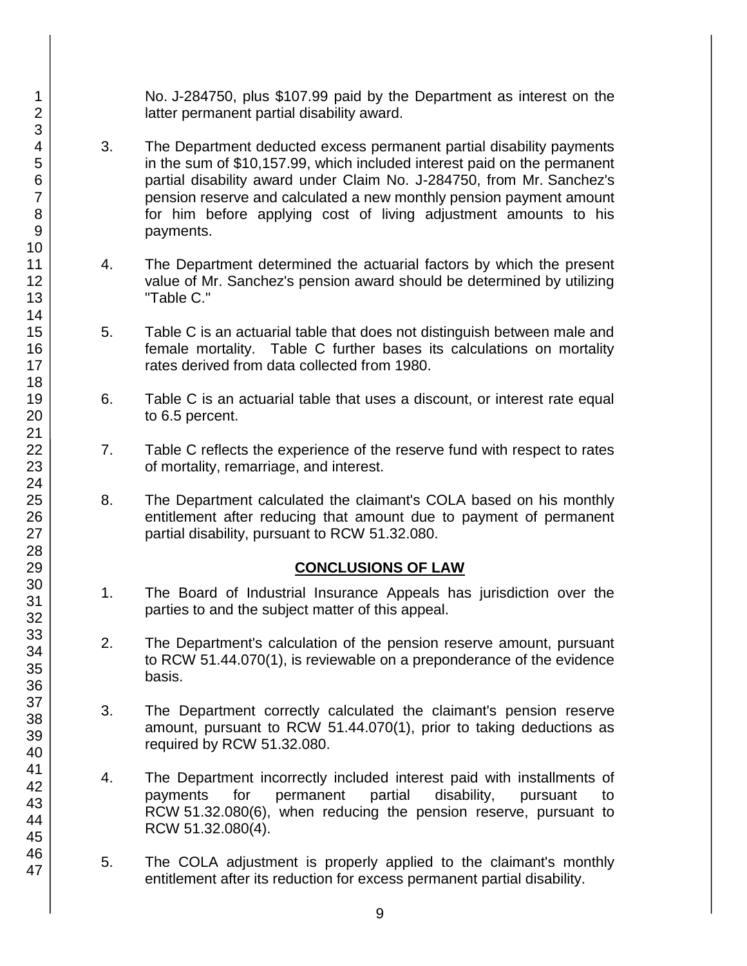No. J-284750, plus \$107.99 paid by the Department as interest on the latter permanent partial disability award.

- 3. The Department deducted excess permanent partial disability payments in the sum of \$10,157.99, which included interest paid on the permanent partial disability award under Claim No. J-284750, from Mr. Sanchez's pension reserve and calculated a new monthly pension payment amount for him before applying cost of living adjustment amounts to his payments.
- 4. The Department determined the actuarial factors by which the present value of Mr. Sanchez's pension award should be determined by utilizing "Table C."
- 5. Table C is an actuarial table that does not distinguish between male and female mortality. Table C further bases its calculations on mortality rates derived from data collected from 1980.
- 6. Table C is an actuarial table that uses a discount, or interest rate equal to 6.5 percent.
- 7. Table C reflects the experience of the reserve fund with respect to rates of mortality, remarriage, and interest.
- 8. The Department calculated the claimant's COLA based on his monthly entitlement after reducing that amount due to payment of permanent partial disability, pursuant to RCW 51.32.080.

# **CONCLUSIONS OF LAW**

- 1. The Board of Industrial Insurance Appeals has jurisdiction over the parties to and the subject matter of this appeal.
- 2. The Department's calculation of the pension reserve amount, pursuant to RCW 51.44.070(1), is reviewable on a preponderance of the evidence basis.
- 3. The Department correctly calculated the claimant's pension reserve amount, pursuant to RCW 51.44.070(1), prior to taking deductions as required by RCW 51.32.080.
- 4. The Department incorrectly included interest paid with installments of payments for permanent partial disability, pursuant to RCW 51.32.080(6), when reducing the pension reserve, pursuant to RCW 51.32.080(4).
- 5. The COLA adjustment is properly applied to the claimant's monthly entitlement after its reduction for excess permanent partial disability.